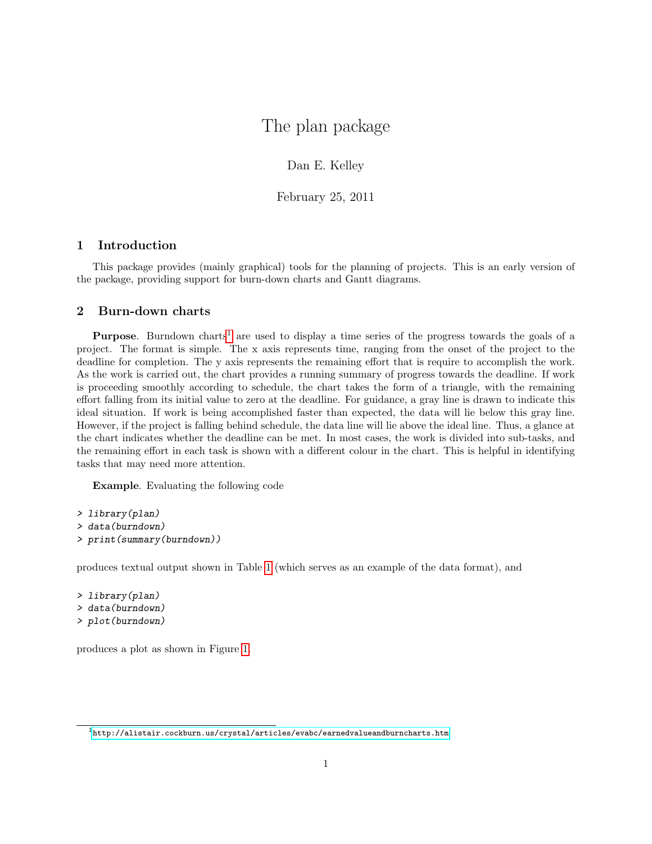## The plan package

Dan E. Kelley

February 25, 2011

## 1 Introduction

This package provides (mainly graphical) tools for the planning of projects. This is an early version of the package, providing support for burn-down charts and Gantt diagrams.

## 2 Burn-down charts

**Purpose.** Burndown charts<sup>[1](#page-0-0)</sup> are used to display a time series of the progress towards the goals of a project. The format is simple. The x axis represents time, ranging from the onset of the project to the deadline for completion. The y axis represents the remaining effort that is require to accomplish the work. As the work is carried out, the chart provides a running summary of progress towards the deadline. If work is proceeding smoothly according to schedule, the chart takes the form of a triangle, with the remaining effort falling from its initial value to zero at the deadline. For guidance, a gray line is drawn to indicate this ideal situation. If work is being accomplished faster than expected, the data will lie below this gray line. However, if the project is falling behind schedule, the data line will lie above the ideal line. Thus, a glance at the chart indicates whether the deadline can be met. In most cases, the work is divided into sub-tasks, and the remaining effort in each task is shown with a different colour in the chart. This is helpful in identifying tasks that may need more attention.

Example. Evaluating the following code

```
> library(plan)
> data(burndown)
> print(summary(burndown))
```
produces textual output shown in Table [1](#page-1-0) (which serves as an example of the data format), and

> library(plan) > data(burndown) > plot(burndown)

produces a plot as shown in Figure [1.](#page-1-1)

<span id="page-0-0"></span> $1$ <http://alistair.cockburn.us/crystal/articles/evabc/earnedvalueandburncharts.htm>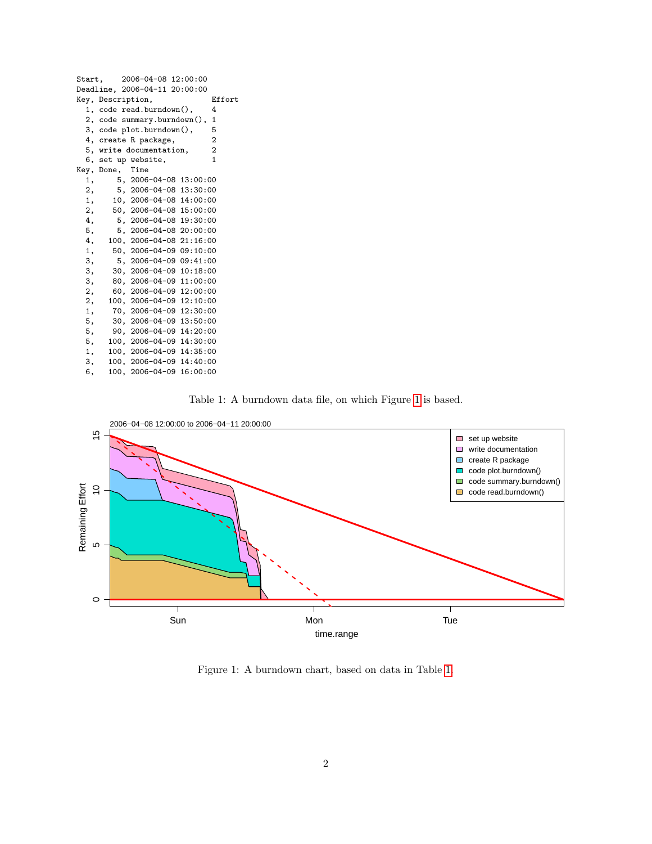| Start, |                   | 2006-04-08 12:00:00            |                |
|--------|-------------------|--------------------------------|----------------|
|        |                   | Deadline, 2006-04-11 20:00:00  |                |
|        | Key, Description, |                                | Effort         |
|        |                   | 1, code read.burndown(),       | 4              |
|        |                   | 2, code summary.burndown(),    | $\mathbf{1}$   |
|        |                   | 3, code plot.burndown(),       | 5              |
|        |                   | 4, create R package,           | $\overline{2}$ |
|        |                   | 5, write documentation,        | $\overline{2}$ |
|        |                   | 6, set up website,             | $\mathbf{1}$   |
|        | Key, Done, Time   |                                |                |
| 1,     |                   | $5, 2006 - 04 - 08$ 13:00:00   |                |
| 2.     |                   | $5, 2006 - 04 - 08$ 13:30:00   |                |
| 1,     |                   | 10, 2006-04-08 14:00:00        |                |
| 2,     |                   | 50, 2006-04-08 15:00:00        |                |
| 4,     |                   | $5, 2006 - 04 - 08$ 19:30:00   |                |
| 5,     |                   | $5, 2006 - 04 - 08 20:00:00$   |                |
| 4,     |                   | 100, 2006-04-08 21:16:00       |                |
| 1,     |                   | $50, 2006 - 04 - 0909 : 10:00$ |                |
| З,     |                   | $5, 2006 - 04 - 0909 : 41:00$  |                |
| з.     |                   | 30, 2006-04-09 10:18:00        |                |
| З,     |                   | 80, 2006-04-09 11:00:00        |                |
| 2,     |                   | $60, 2006 - 04 - 09$ 12:00:00  |                |
| 2,     |                   | 100, 2006-04-09 12:10:00       |                |
| 1,     |                   | 70, 2006-04-09 12:30:00        |                |
| 5,     |                   | 30, 2006-04-09 13:50:00        |                |
| 5,     |                   | $90, 2006 - 04 - 09$ 14:20:00  |                |
| 5,     |                   | 100, 2006-04-09 14:30:00       |                |
| 1,     |                   | 100, 2006-04-09 14:35:00       |                |
| З,     |                   | 100, 2006-04-09 14:40:00       |                |
| 6,     |                   | 100, 2006-04-09 16:00:00       |                |
|        |                   |                                |                |

<span id="page-1-0"></span>



<span id="page-1-1"></span>Figure 1: A burndown chart, based on data in Table [1.](#page-1-0)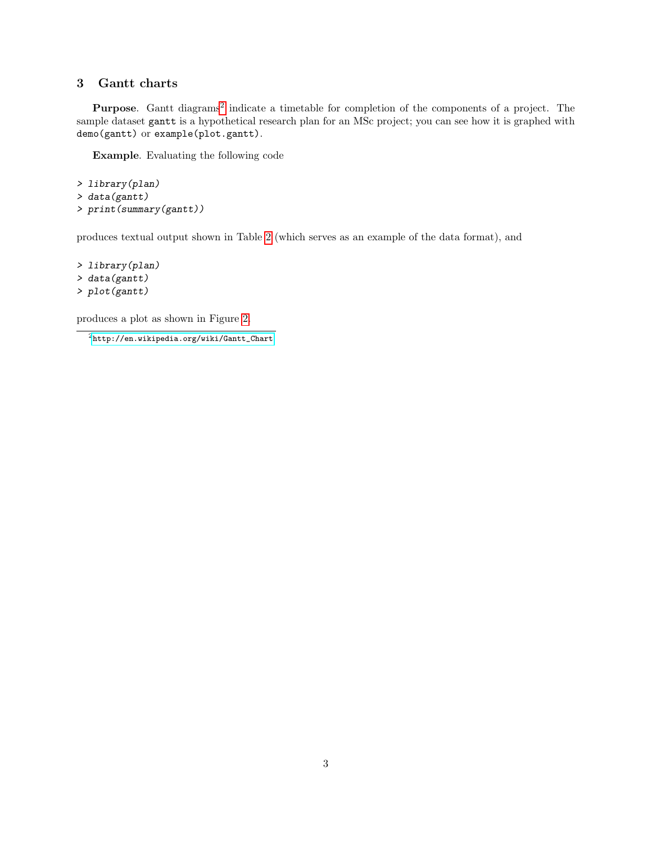## 3 Gantt charts

Purpose. Gantt diagrams<sup>[2](#page-2-0)</sup> indicate a timetable for completion of the components of a project. The sample dataset gantt is a hypothetical research plan for an MSc project; you can see how it is graphed with demo(gantt) or example(plot.gantt).

Example. Evaluating the following code

```
> library(plan)
> data(gantt)
> print(summary(gantt))
```
produces textual output shown in Table [2](#page-3-0) (which serves as an example of the data format), and

> library(plan) > data(gantt) > plot(gantt)

produces a plot as shown in Figure [2.](#page-3-1)

<span id="page-2-0"></span> $2$ [http://en.wikipedia.org/wiki/Gantt\\_Chart](http://en.wikipedia.org/wiki/Gantt_Chart)